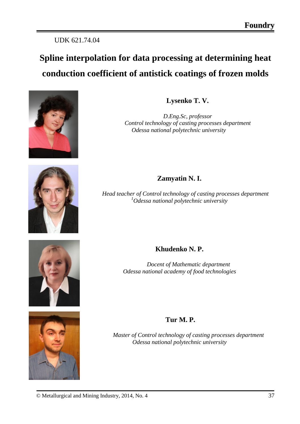## UDK 621.74.04

# **Spline interpolation for data processing at determining heat conduction coefficient of antistick coatings of frozen molds**





*D.Eng.Sc, professor Control technology of casting processes department Odessa national polytechnic university*



### **Zamyatin N. I.**

*Head teacher of Control technology of casting processes department 1 Odessa national polytechnic university*





## **Khudenko N. P.**

*Docent of Mathematic department Odessa national academy of food technologies*

#### **Tur M. P.**

*Master of Control technology of casting processes department Odessa national polytechnic university*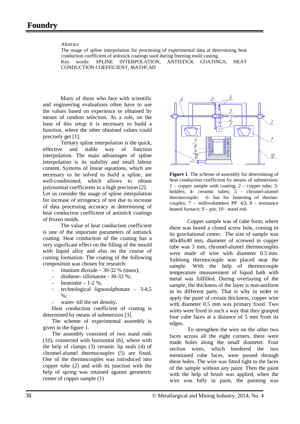#### Abstract

The usage of spline interpolation for processing of experimental data at determining heat conduction coefficient of antistick coatings used during freezing mold casting. Key words: SPLINE INTERPOLATION, ANTISTICK COATINGS, HEAT CONDUCTION COEFFICIENT, MATHCAD

Many of those who face with scientific and engineering evaluations often have to use the values based on experience or obtained by means of random selection. As a rule, on the base of this setup it is necessary to build a function, where the other obtained values could precisely get [1].

Tertiary spline interpolation is the quick, effective and stable way of function interpolation. The main advantages of spline interpolation is its stability and small labour content. Systems of linear equations, which are necessary to be solved to build a spline, are well-conditioned, which allows to obtain polynomial coefficients to a high precision [2].

Let us consider the usage of spline interpolation for increase of stringency of test due to increase of data processing accuracy at determining of heat conduction coefficient of antistick coatings of frozen molds.

The value of heat conduction coefficient is one of the important parameters of antistick coating. Heat conduction of the coating has a very significant effect on the filling of the mould with liquid alloy and also on the course of casting formation. The coating of the following composition was chosen for research:

- titanium dioxide 30-32 % (mass);
- disthene- sillimanite 30-32 %;
- bentonite  $-1-2$  %:
- technological lignosulphonate 3-4,5  $\%$
- water- till the set density.

Heat conduction coefficient of coating is determined by means of submersion [3].

The scheme of experimental assembly is given in the figure 1.

The assembly consisted of two stand rods (10), connected with horizontal (6), where with the help of clamps (3) ceramic lip seals (4) of chromel-alumel thermocouples (5) are fixed. One of the thermocouples was introduced into copper tube (2) and with its junction with the help of spring was retained against geometric center of copper sample (1)



**Figure 1**. The scheme of assembly for determining of heat conduction coefficient by means of submersion: 1 – copper sample with coating; 2 – copper tube; 3 holders; 4- ceramic tubes; 5 - chromel-alumel thermocouple; 6- bar for fastening of thermocouples; 7 – millivoltmeters PP -63; 8 - resistance heated furnace;  $9 -$  pot; 10 - stand rod.

Copper sample was of cube form, where there was bored a closed screw hole, coming to its gravitational center. The size of sample was 40x40x40 mm, diameter of screwed in copper tube was 3 mm, chromel-alumel thermocouples were made of wire with diameter 0.5 mm. Sidelong thermocouple was placed near the sample. With the help of thermocouple temperature measurement of liquid bath with metal was fulfilled. During overlaying of the sample, the thickness of the layer is non-uniform in its different parts. That is why in order to apply the paint of certain thickness, copper wire with diameter 0.5 mm was primary fixed. Two wires were fixed in such a way that they grasped four cube faces at a distance of 5 mm from its edges.

To strengthen the wire on the other two faces across all the eight corners, there were made holes along the small diameter. Four section wires, which bordered the two mentioned cube faces, were passed through these holes. The wire was fitted tight to the faces of the sample without any paint. Then the paint with the help of brush was applied, when the wire was fully in paint, the painting was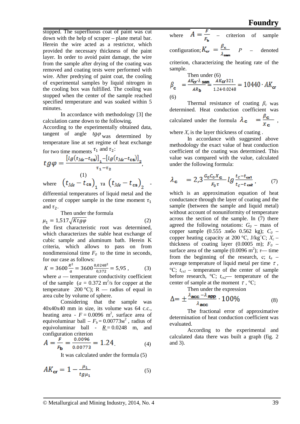stopped. The superfluous coat of paint was cut down with the help of scraper – plane metal bar. Herein the wire acted as a restrictor, which provided the necessary thickness of the paint layer. In order to avoid paint damage, the wire from the sample after drying of the coating was removed and coating tests were performed with wire. After predrying of paint coat, the cooling of experimental samples by liquid nitrogen in the cooling box was fulfilled. The cooling was stopped when the center of the sample reached specified temperature and was soaked within 5 minutes.

In accordance with methodology [3] the calculation came down to the following.

According to the experimentally obtained data, tangent of angle  $tg\varphi$ <sub>was</sub> determined by temperature line at set regime of heat exchange for two time moments  $\tau_1$  and  $\tau_2$ :

$$
tg\varphi = \frac{\left[l_g(t_{Me} - t_{cs})\right]_1 - \left[l_g(t_{Me} - t_{cs})\right]_2}{\tau_1 - \tau_2},
$$
\nwhere 
$$
\left(t_{Me} - t_{cs}\right)_1
$$
  $\tau_1$   $\left(t_{Me} - t_{cs}\right)_2$ 

differential temperatures of liquid metal and the center of copper sample in the time moment  $\tau_1$ and  $\tau_2$ .

Then under the formula

$$
\mu_1 = 1.517 \sqrt{Ktg\varphi} \tag{2}
$$

the first characteristic root was determined, which characterizes the stable heat exchange of cubic sample and aluminum bath. Herein K criteria, which allows to pass on from nondimensional time  $F_0$  to the time in seconds, for our case as follows:

$$
K = 3600 \frac{R^2}{a} = 3600 \frac{0.0248^2}{0.372} = 5.95 , \qquad (3)
$$

where  $a$  — temperature conductivity coefficient of the sample  $(a = 0.372 \text{ m}^2/\text{s}$  for copper at the temperature 200 °C); R — radius of equal in area cube by volume of sphere.

Considering that the sample was 40x40x40 mm in size, its volume was 64 c.c., heating area -  $F = 0.0096$  m<sup>2</sup>, surface area of equivoluminar ball  $-F_b = 0.00773M^2$ , radius of equivoluminar ball -  $R = 0.0248$  m, and configuration criterion

$$
A = \frac{F}{F_{\mathbf{b}}} = \frac{0.0096}{0.00773} = 1.24
$$
 (4)

It was calculated under the formula (5)

$$
AK_{\mathbf{cr}} = 1 - \frac{\mu_1}{tg\mu_1} \tag{5}
$$

where 
$$
A = \frac{F}{F_b}
$$
 - criterion of sample  
configuration;  $K_{cr} = \frac{\beta_c}{\lambda_{\text{sam}}}$   $P$  - denoted

criterion, characterizing the heating rate of the sample.

Then under (6)  
\n
$$
\beta_{\rm c} = \frac{AK_{\rm cr}\lambda_{\rm sam}}{AR_{\rm b}} = \frac{AK_{\rm cr}^{321}}{1.24 \cdot 0.0248} = 10440 \cdot AK_{\rm cr}
$$
\n(6)

Thermal resistance of coating *βc* was determined. Heat conduction coefficient was<br>calculated under the formula  $\lambda_c = \frac{\beta_c}{x_c}$ , calculated under the formula  $\lambda_c$ 

where  $X_c$  is the layer thickness of coating.

In accordance with suggested above methodology the exact value of heat conduction coefficient of the coating was determined. This value was compared with the value, calculated under the following formula:

$$
\lambda_{\mathbf{c}} = 2.3 \frac{G_0 G_0 X_{\mathbf{c}}}{F_0 \tau} \log \frac{t_c - t_{\mathbf{c}\mathbf{s}1}}{t_c - t_{\mathbf{c}\mathbf{s}2}},\tag{7}
$$

which is an approximation equation of heat conductance through the layer of coating and the sample (between the sample and liquid metal) without account of nonuniformity of temperature across the section of the sample. In (7) there agreed the following notations:  $G_0$  – mass of copper sample (0.555 либо 0.562 kg); *С<sup>0</sup>* – copper heating capacity at 200 °С, J/kg○ С; *Хc* – thickness of coating layer  $(0.0005 \text{ m})$ ;  $F_0$  – surface area of the sample  $(0.0096 \text{ m}^2)$ ;  $\tau$ — time from the beginning of the research, c;  $t_a$  – average temperature of liquid metal per time  $\tau$ , °C;  $t_{cs1}$  – temperature of the center of sample before research, °С; *t<sub>cs2</sub>*— temperature of the center of sample at the moment  $\tau$ , °C;

Then under the expression

$$
\Delta = \pm \frac{\lambda_{\text{acc}} - \lambda_{\text{app}}}{\lambda_{\text{acc}}} \cdot 100\%
$$
 (8)

The fractional error of approximative determination of heat conduction coefficient was evaluated.

According to the experimental and calculated data there was built a graph (fig. 2 and 3).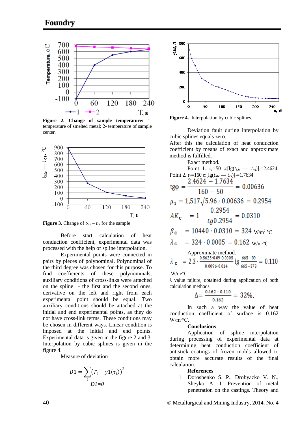

**Figure 2. Change of sample temperature:** 1 temperature of smelted metal; 2- temperature of sample center.



**Figure 3.** Change of  $t_{Me} - t_{cs}$  for the sample

Before start calculation of heat conduction coefficient, experimental data was processed with the help of spline interpolation.

Experimental points were connected in pairs by pieces of polynominal. Polynominal of the third degree was chosen for this purpose. To find coefficients of these polynominals, auxiliary conditions of cross-links were attached on the spline - the first and the second ones, derivative on the left and right from each experimental point should be equal. Two auxiliary conditions should be attached at the initial and end experimental points, as they do not have cross-link terms. These conditions may be chosen in different ways. Linear condition is imposed at the initial and end points. Experimental data is given in the figure 2 and 3. Interpolation by cubic splines is given in the figure 4.

Measure of deviation

$$
D1 = \sum_{i} (T_i - y1(\tau_i))^2
$$
  

$$
D1 = 0
$$



**Figure 4.** Interpolation by cubic splines.

Deviation fault during interpolation by cubic splines equals zero.

After this the calculation of heat conduction coefficient by means of exact and approximate method is fulfilled.

Exact method.  
\nPoint 1. 
$$
\tau_l
$$
=50 c:[lg( $t_{Me}$  -  $t_{cs}$ )]<sub>1</sub>=2.4624.  
\nPoint 2.  $\tau_2$ =160 c:[lg( $t_{Me}$  -  $t_{cs}$ )]<sub>2</sub>=1.7634  
\ntg $\varphi$  =  $\frac{2.4624 - 1.7634}{160 - 50} = 0.00636$   
\n $\mu_1$  = 1.517 $\sqrt{5.96 \cdot 0.00636} = 0.2954$   
\n $AK_c$  = 1 -  $\frac{0.2954}{tg0.2954} = 0.0310$   
\n $\beta_c$  = 10440  $\cdot$  0.0310 = 324 W/m<sup>2</sup> °C  
\n $\lambda_c$  = 324  $\cdot$  0.0005 = 0.162 W/m<sup>°</sup>C  
\nApproximate method.

Approximate method.  
\n
$$
\lambda_c = 2.3 \cdot \frac{0.5625 \cdot 0.09 \cdot 0.0005}{0.0096 \cdot 0.014} \cdot \log \frac{665 - 89}{665 - 373} = 0.110
$$

W/m∙°С

λ value failure, obtained during application of both calculation methods.

$$
\Delta = \frac{0.162 - 0.110}{0.162} = 32\%
$$

In such a way the value of heat conduction coefficient of surface is 0.162 W/m∙°С.

#### **Conclusions**

Application of spline interpolation during processing of experimental data at determining heat conduction coefficient of antistick coatings of frozen molds allowed to obtain more accurate results of the final calculation.

#### **References**

1. Doroshenko S. P., Drobyazko V. N., Sheyko A. I. Prevention of metal penetration on the castings. Theory and